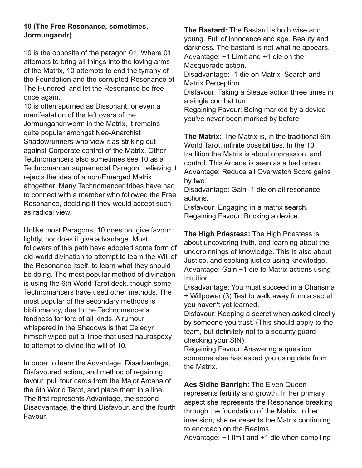## **10 (The Free Resonance, sometimes, Jormungandr)**

10 is the opposite of the paragon 01. Where 01 attempts to bring all things into the loving arms of the Matrix, 10 attempts to end the tyrrany of the Foundation and the corrupted Resonance of The Hundred, and let the Resonance be free once again.

10 is often spurned as Dissonant, or even a manifestation of the left overs of the Jormungandr worm in the Matrix, it remains quite popular amongst Neo-Anarchist Shadowrunners who view it as striking out against Corporate control of the Matrix. Other Technomancers also sometimes see 10 as a Technomancer supremecist Paragon, believing it rejects the idea of a non-Emerged Matrix altogether. Many Technomancer tribes have had to connect with a member who followed the Free Resonance, deciding if they would accept such as radical view.

Unlike most Paragons, 10 does not give favour lightly, nor does it give advantage. Most followers of this path have adopted some form of old-world divination to attempt to learn the Will of the Resonance itself, to learn what they should be doing. The most popular method of divination is using the 6th World Tarot deck, though some Technomancers have used other methods. The most popular of the secondary methods is bibliomancy, due to the Technomancer's fondness for lore of all kinds. A rumour whispered in the Shadows is that Celedyr himself wiped out a Tribe that used hauraspexy to attempt to divine the will of 10.

In order to learn the Advantage, Disadvantage, Disfavoured action, and method of regaining favour, pull four cards from the Major Arcana of the 6th World Tarot, and place them in a line. The first represents Advantage, the second Disadvantage, the third Disfavour, and the fourth Favour.

**The Bastard:** The Bastard is both wise and young. Full of innocence and age. Beauty and darkness. The bastard is not what he appears. Advantage: +1 Limit and +1 die on the Masquerade action. Disadvantage: -1 die on Matrix Search and Matrix Perception. Disfavour: Taking a Sleaze action three times in

a single combat turn. Regaining Favour: Being marked by a device you've never been marked by before

**The Matrix:** The Matrix is, in the traditional 6th World Tarot, infinite possibilities. In the 10 tradition the Matrix is about oppression, and control. This Arcana is seen as a bad omen. Advantage: Reduce all Overwatch Score gains by two.

Disadvantage: Gain -1 die on all resonance actions.

Disfavour: Engaging in a matrix search. Regaining Favour: Bricking a device.

**The High Priestess:** The High Priestess is about uncovering truth, and learning about the underpinnings of knowledge. This is also about Justice, and seeking justice using knowledge. Advantage: Gain +1 die to Matrix actions using Intuition.

Disadvantage: You must succeed in a Charisma + Willpower (3) Test to walk away from a secret you haven't yet learned.

Disfavour: Keeping a secret when asked directly by someone you trust. (This should apply to the team, but definitely not to a security guard checking your SIN).

Regaining Favour: Answering a question someone else has asked you using data from the Matrix.

**Aes Sídhe Banrìgh:** The Elven Queen represents fertility and growth. In her primary aspect she represents the Resonance breaking through the foundation of the Matrix. In her inversion, she represents the Matrix continuing to encroach on the Realms.

Advantage: +1 limit and +1 die when compiling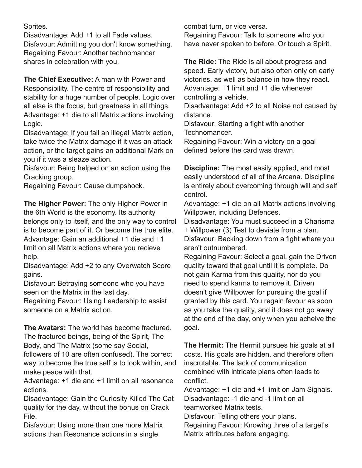Sprites.

Disadvantage: Add +1 to all Fade values. Disfavour: Admitting you don't know something. Regaining Favour: Another technomancer shares in celebration with you.

**The Chief Executive:** A man with Power and Responsibility. The centre of responsibility and stability for a huge number of people. Logic over all else is the focus, but greatness in all things. Advantage: +1 die to all Matrix actions involving Logic.

Disadvantage: If you fail an illegal Matrix action, take twice the Matrix damage if it was an attack action, or the target gains an additional Mark on you if it was a sleaze action.

Disfavour: Being helped on an action using the Cracking group.

Regaining Favour: Cause dumpshock.

**The Higher Power:** The only Higher Power in the 6th World is the economy. Its authority belongs only to itself, and the only way to control is to become part of it. Or become the true elite. Advantage: Gain an additional +1 die and +1 limit on all Matrix actions where you recieve help.

Disadvantage: Add +2 to any Overwatch Score gains.

Disfavour: Betraying someone who you have seen on the Matrix in the last day.

Regaining Favour: Using Leadership to assist someone on a Matrix action.

**The Avatars:** The world has become fractured. The fractured beings, being of the Spirit, The Body, and The Matrix (some say Social,

followers of 10 are often confused). The correct way to become the true self is to look within, and make peace with that.

Advantage: +1 die and +1 limit on all resonance actions.

Disadvantage: Gain the Curiosity Killed The Cat quality for the day, without the bonus on Crack File.

Disfavour: Using more than one more Matrix actions than Resonance actions in a single

combat turn, or vice versa.

Regaining Favour: Talk to someone who you have never spoken to before. Or touch a Spirit.

**The Ride:** The Ride is all about progress and speed. Early victory, but also often only on early victories, as well as balance in how they react. Advantage: +1 limit and +1 die whenever controlling a vehicle.

Disadvantage: Add +2 to all Noise not caused by distance.

Disfavour: Starting a fight with another Technomancer.

Regaining Favour: Win a victory on a goal defined before the card was drawn.

**Discipline:** The most easily applied, and most easily understood of all of the Arcana. Discipline is entirely about overcoming through will and self control.

Advantage: +1 die on all Matrix actions involving Willpower, including Defences.

Disadvantage: You must succeed in a Charisma + Willpower (3) Test to deviate from a plan.

Disfavour: Backing down from a fight where you aren't outnumbered.

Regaining Favour: Select a goal, gain the Driven quality toward that goal until it is complete. Do not gain Karma from this quality, nor do you need to spend karma to remove it. Driven doesn't give Willpower for pursuing the goal if granted by this card. You regain favour as soon as you take the quality, and it does not go away at the end of the day, only when you acheive the goal.

**The Hermit:** The Hermit pursues his goals at all costs. His goals are hidden, and therefore often inscrutable. The lack of communication combined with intricate plans often leads to conflict.

Advantage: +1 die and +1 limit on Jam Signals. Disadvantage: -1 die and -1 limit on all teamworked Matrix tests.

Disfavour: Telling others your plans.

Regaining Favour: Knowing three of a target's Matrix attributes before engaging.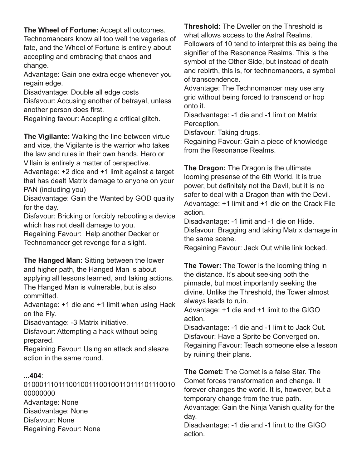**The Wheel of Fortune:** Accept all outcomes.

Technomancers know all too well the vageries of fate, and the Wheel of Fortune is entirely about accepting and embracing that chaos and change.

Advantage: Gain one extra edge whenever you regain edge.

Disadvantage: Double all edge costs

Disfavour: Accusing another of betrayal, unless another person does first.

Regaining favour: Accepting a critical glitch.

**The Vigilante:** Walking the line between virtue and vice, the Vigilante is the warrior who takes the law and rules in their own hands. Hero or Villain is entirely a matter of perspective.

Advantage: +2 dice and +1 limit against a target that has dealt Matrix damage to anyone on your PAN (including you)

Disadvantage: Gain the Wanted by GOD quality for the day.

Disfavour: Bricking or forcibly rebooting a device which has not dealt damage to you.

Regaining Favour: Help another Decker or Technomancer get revenge for a slight.

**The Hanged Man:** Sitting between the lower and higher path, the Hanged Man is about applying all lessons learned, and taking actions. The Hanged Man is vulnerable, but is also committed.

Advantage: +1 die and +1 limit when using Hack on the Fly.

Disadvantage: 3 Matrix initiative.

Disfavour: Attempting a hack without being prepared.

Regaining Favour: Using an attack and sleaze action in the same round.

## **...404**:

0100011101110010011100100110111101110010 00000000 Advantage: None Disadvantage: None Disfavour: None Regaining Favour: None

**Threshold:** The Dweller on the Threshold is what allows access to the Astral Realms. Followers of 10 tend to interpret this as being the signifier of the Resonance Realms. This is the symbol of the Other Side, but instead of death and rebirth, this is, for technomancers, a symbol of transcendence.

Advantage: The Technomancer may use any grid without being forced to transcend or hop onto it.

Disadvantage: -1 die and -1 limit on Matrix Perception.

Disfavour: Taking drugs.

Regaining Favour: Gain a piece of knowledge from the Resonance Realms.

**The Dragon:** The Dragon is the ultimate looming presense of the 6th World. It is true power, but definitely not the Devil, but it is no safer to deal with a Dragon than with the Devil. Advantage: +1 limit and +1 die on the Crack File action.

Disadvantage: -1 limit and -1 die on Hide. Disfavour: Bragging and taking Matrix damage in the same scene.

Regaining Favour: Jack Out while link locked.

**The Tower:** The Tower is the looming thing in the distance. It's about seeking both the pinnacle, but most importantly seeking the divine. Unlike the Threshold, the Tower almost always leads to ruin.

Advantage: +1 die and +1 limit to the GIGO action.

Disadvantage: -1 die and -1 limit to Jack Out. Disfavour: Have a Sprite be Converged on. Regaining Favour: Teach someone else a lesson by ruining their plans.

**The Comet:** The Comet is a false Star. The Comet forces transformation and change. It forever changes the world. It is, however, but a temporary change from the true path. Advantage: Gain the Ninja Vanish quality for the day.

Disadvantage: -1 die and -1 limit to the GIGO action.